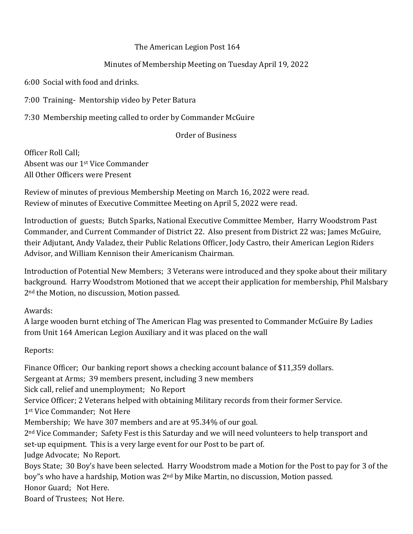## The American Legion Post 164

## Minutes of Membership Meeting on Tuesday April 19, 2022

6:00 Social with food and drinks.

7:00 Training- Mentorship video by Peter Batura

7:30 Membership meeting called to order by Commander McGuire

## Order of Business

Officer Roll Call; Absent was our 1st Vice Commander All Other Officers were Present

Review of minutes of previous Membership Meeting on March 16, 2022 were read. Review of minutes of Executive Committee Meeting on April 5, 2022 were read.

Introduction of guests; Butch Sparks, National Executive Committee Member, Harry Woodstrom Past Commander, and Current Commander of District 22. Also present from District 22 was; James McGuire, their Adjutant, Andy Valadez, their Public Relations Officer, Jody Castro, their American Legion Riders Advisor, and William Kennison their Americanism Chairman.

Introduction of Potential New Members; 3 Veterans were introduced and they spoke about their military background. Harry Woodstrom Motioned that we accept their application for membership, Phil Malsbary 2nd the Motion, no discussion, Motion passed.

Awards:

A large wooden burnt etching of The American Flag was presented to Commander McGuire By Ladies from Unit 164 American Legion Auxiliary and it was placed on the wall

Reports:

Finance Officer; Our banking report shows a checking account balance of \$11,359 dollars. Sergeant at Arms; 39 members present, including 3 new members Sick call, relief and unemployment; No Report Service Officer; 2 Veterans helped with obtaining Military records from their former Service. 1st Vice Commander; Not Here Membership; We have 307 members and are at 95.34% of our goal. 2nd Vice Commander; Safety Fest is this Saturday and we will need volunteers to help transport and set-up equipment. This is a very large event for our Post to be part of. Judge Advocate; No Report. Boys State; 30 Boy's have been selected. Harry Woodstrom made a Motion for the Post to pay for 3 of the boy"s who have a hardship, Motion was 2nd by Mike Martin, no discussion, Motion passed. Honor Guard; Not Here. Board of Trustees; Not Here.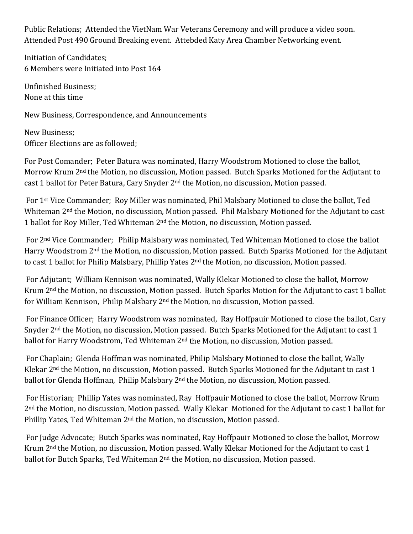Public Relations; Attended the VietNam War Veterans Ceremony and will produce a video soon. Attended Post 490 Ground Breaking event. Attebded Katy Area Chamber Networking event.

Initiation of Candidates; 6 Members were Initiated into Post 164

Unfinished Business; None at this time

New Business, Correspondence, and Announcements

New Business; Officer Elections are as followed;

For Post Comander; Peter Batura was nominated, Harry Woodstrom Motioned to close the ballot, Morrow Krum 2nd the Motion, no discussion, Motion passed. Butch Sparks Motioned for the Adjutant to cast 1 ballot for Peter Batura, Cary Snyder 2nd the Motion, no discussion, Motion passed.

For 1st Vice Commander; Roy Miller was nominated, Phil Malsbary Motioned to close the ballot, Ted Whiteman 2nd the Motion, no discussion, Motion passed. Phil Malsbary Motioned for the Adjutant to cast 1 ballot for Roy Miller, Ted Whiteman 2<sup>nd</sup> the Motion, no discussion, Motion passed.

For 2nd Vice Commander; Philip Malsbary was nominated, Ted Whiteman Motioned to close the ballot Harry Woodstrom 2nd the Motion, no discussion, Motion passed. Butch Sparks Motioned for the Adjutant to cast 1 ballot for Philip Malsbary, Phillip Yates 2<sup>nd</sup> the Motion, no discussion, Motion passed.

For Adjutant; William Kennison was nominated, Wally Klekar Motioned to close the ballot, Morrow Krum 2nd the Motion, no discussion, Motion passed. Butch Sparks Motion for the Adjutant to cast 1 ballot for William Kennison, Philip Malsbary 2nd the Motion, no discussion, Motion passed.

For Finance Officer; Harry Woodstrom was nominated, Ray Hoffpauir Motioned to close the ballot, Cary Snyder 2nd the Motion, no discussion, Motion passed. Butch Sparks Motioned for the Adjutant to cast 1 ballot for Harry Woodstrom, Ted Whiteman 2<sup>nd</sup> the Motion, no discussion, Motion passed.

For Chaplain; Glenda Hoffman was nominated, Philip Malsbary Motioned to close the ballot, Wally Klekar 2<sup>nd</sup> the Motion, no discussion, Motion passed. Butch Sparks Motioned for the Adjutant to cast 1 ballot for Glenda Hoffman, Philip Malsbary 2<sup>nd</sup> the Motion, no discussion, Motion passed.

For Historian; Phillip Yates was nominated, Ray Hoffpauir Motioned to close the ballot, Morrow Krum 2nd the Motion, no discussion, Motion passed. Wally Klekar Motioned for the Adjutant to cast 1 ballot for Phillip Yates, Ted Whiteman 2<sup>nd</sup> the Motion, no discussion, Motion passed.

For Judge Advocate; Butch Sparks was nominated, Ray Hoffpauir Motioned to close the ballot, Morrow Krum 2nd the Motion, no discussion, Motion passed. Wally Klekar Motioned for the Adjutant to cast 1 ballot for Butch Sparks, Ted Whiteman 2nd the Motion, no discussion, Motion passed.